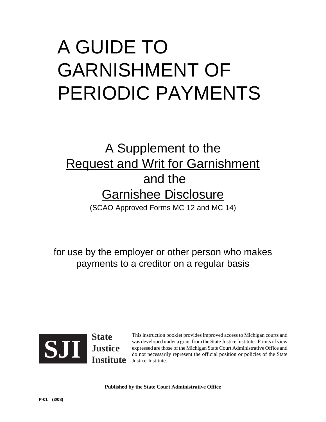# A GUIDE TO GARNISHMENT OF PERIODIC PAYMENTS

## A Supplement to the **Request and Writ for Garnishment**  and the Garnishee Disclosure (SCAO Approved Forms MC 12 and MC 14)

for use by the employer or other person who makes payments to a creditor on a regular basis



This instruction booklet provides improved access to Michigan courts and was developed under a grant from the State Justice Institute. Points of view expressed are those of the Michigan State Court Administrative Office and **ablance**<br> **do not necessarily represent the official position or policies of the State Iustice Institute. Points of view<br>
<b>do not necessarily represent the official position or policies of the State**<br> **do not necessarily** Justice Institute.

**Published by the State Court Administrative Office**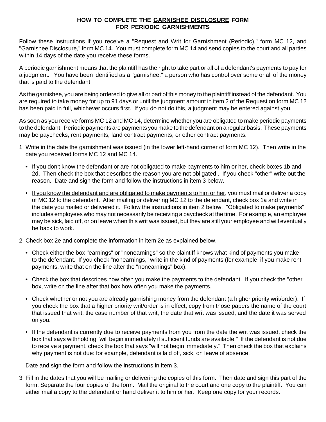#### **HOW TO COMPLETE THE GARNISHEE DISCLOSURE FORM FOR PERIODIC GARNISHMENTS**

Follow these instructions if you receive a "Request and Writ for Garnishment (Periodic)," form MC 12, and "Garnishee Disclosure," form MC 14. You must complete form MC 14 and send copies to the court and all parties within 14 days of the date you receive these forms.

A periodic garnishment means that the plaintiff has the right to take part or all of a defendant's payments to pay for a judgment. You have been identified as a "garnishee," a person who has control over some or all of the money that is paid to the defendant.

As the garnishee, you are being ordered to give all or part of this money to the plaintiff instead of the defendant. You are required to take money for up to 91 days or until the judgment amount in item 2 of the Request on form MC 12 has been paid in full, whichever occurs first. If you do not do this, a judgment may be entered against you.

As soon as you receive forms MC 12 and MC 14, determine whether you are obligated to make periodic payments to the defendant. Periodic payments are payments you make to the defendant on a regular basis. These payments may be paychecks, rent payments, land contract payments, or other contract payments.

- 1. Write in the date the garnishment was issued (in the lower left-hand corner of form MC 12). Then write in the date you received forms MC 12 and MC 14.
	- **•** If you don't know the defendant or are not obligated to make payments to him or her, check boxes 1b and 2d. Then check the box that describes the reason you are not obligated . If you check "other" write out the reason. Date and sign the form and follow the instructions in item 3 below.
	- **•** If you know the defendant and are obligated to make payments to him or her, you must mail or deliver a copy of MC 12 to the defendant. After mailing or delivering MC 12 to the defendant, check box 1a and write in the date you mailed or delivered it. Follow the instructions in item 2 below. "Obligated to make payments" includes employees who may not necessarily be receiving a paycheck at the time. For example, an employee may be sick, laid off, or on leave when this writ was issued, but they are still your employee and will eventually be back to work.
- 2. Check box 2e and complete the information in item 2e as explained below.
	- **•** Check either the box "earnings" or "nonearnings" so the plaintiff knows what kind of payments you make to the defendant. If you check "nonearnings," write in the kind of payments (for example, if you make rent payments, write that on the line after the "nonearnings" box).
	- **•** Check the box that describes how often you make the payments to the defendant. If you check the "other" box, write on the line after that box how often you make the payments.
	- **•** Check whether or not you are already garnishing money from the defendant (a higher priority writ/order). If you check the box that a higher priority writ/order is in effect, copy from those papers the name of the court that issued that writ, the case number of that writ, the date that writ was issued, and the date it was served on you.
	- **•** If the defendant is currently due to receive payments from you from the date the writ was issued, check the box that says withholding "will begin immediately if sufficient funds are available." If the defendant is not due to receive a payment, check the box that says "will not begin immediately." Then check the box that explains why payment is not due: for example, defendant is laid off, sick, on leave of absence.

Date and sign the form and follow the instructions in item 3.

3. Fill in the dates that you will be mailing or delivering the copies of this form. Then date and sign this part of the form. Separate the four copies of the form. Mail the original to the court and one copy to the plaintiff. You can either mail a copy to the defendant or hand deliver it to him or her. Keep one copy for your records.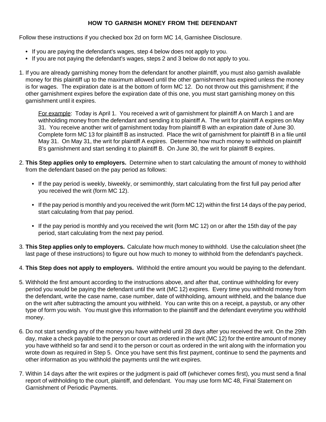### **HOW TO GARNISH MONEY FROM THE DEFENDANT**

Follow these instructions if you checked box 2d on form MC 14, Garnishee Disclosure.

- **•** If you are paying the defendant's wages, step 4 below does not apply to you.
- **•** If you are not paying the defendant's wages, steps 2 and 3 below do not apply to you.
- 1. If you are already garnishing money from the defendant for another plaintiff, you must also garnish available money for this plaintiff up to the maximum allowed until the other garnishment has expired unless the money is for wages. The expiration date is at the bottom of form MC 12. Do not throw out this garnishment; if the other garnishment expires before the expiration date of this one, you must start garnishing money on this garnishment until it expires.

For example: Today is April 1. You received a writ of garnishment for plaintiff A on March 1 and are withholding money from the defendant and sending it to plaintiff A. The writ for plaintiff A expires on May 31. You receive another writ of garnishment today from plaintiff B with an expiration date of June 30. Complete form MC 13 for plaintiff B as instructed. Place the writ of garnishment for plaintiff B in a file until May 31. On May 31, the writ for plaintiff A expires. Determine how much money to withhold on plaintiff B's garnishment and start sending it to plaintiff B. On June 30, the writ for plaintiff B expires.

- 2. **This Step applies only to employers.** Determine when to start calculating the amount of money to withhold from the defendant based on the pay period as follows:
	- **•** If the pay period is weekly, biweekly, or semimonthly, start calculating from the first full pay period after you received the writ (form MC 12).
	- **•** If the pay period is monthly and you received the writ (form MC 12) within the first 14 days of the pay period, start calculating from that pay period.
	- **•** If the pay period is monthly and you received the writ (form MC 12) on or after the 15th day of the pay period, start calculating from the next pay period.
- 3. **This Step applies only to employers.** Calculate how much money to withhold. Use the calculation sheet (the last page of these instructions) to figure out how much to money to withhold from the defendant's paycheck.
- 4. **This Step does not apply to employers.** Withhold the entire amount you would be paying to the defendant.
- 5. Withhold the first amount according to the instructions above, and after that, continue withholding for every period you would be paying the defendant until the writ (MC 12) expires. Every time you withhold money from the defendant, write the case name, case number, date of withholding, amount withheld, and the balance due on the writ after subtracting the amount you withheld. You can write this on a receipt, a paystub, or any other type of form you wish. You must give this information to the plaintiff and the defendant everytime you withhold money.
- 6. Do not start sending any of the money you have withheld until 28 days after you received the writ. On the 29th day, make a check payable to the person or court as ordered in the writ (MC 12) for the entire amount of money you have withheld so far and send it to the person or court as ordered in the writ along with the information you wrote down as required in Step 5. Once you have sent this first payment, continue to send the payments and other information as you withhold the payments until the writ expires.
- 7. Within 14 days after the writ expires or the judgment is paid off (whichever comes first), you must send a final report of withholding to the court, plaintiff, and defendant. You may use form MC 48, Final Statement on Garnishment of Periodic Payments.